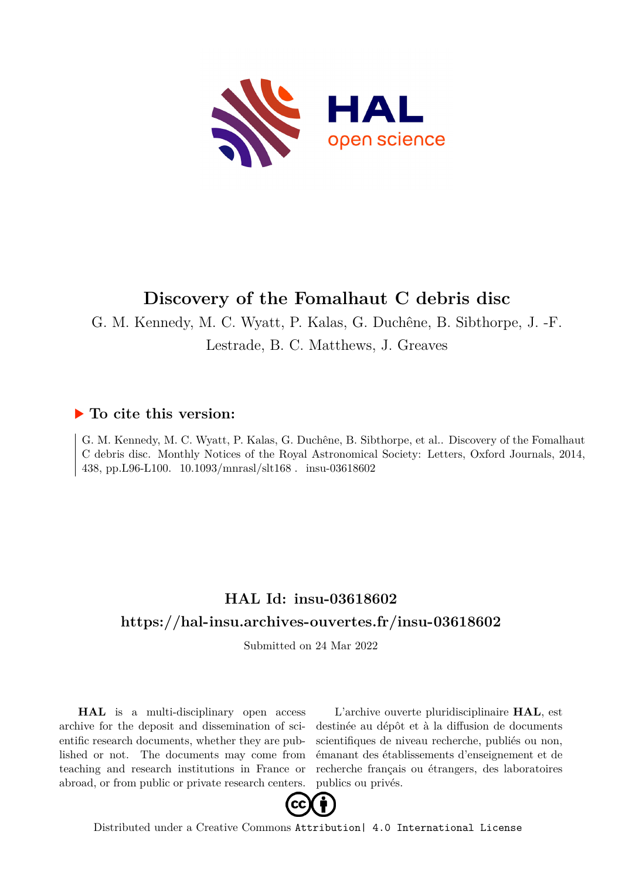

# **Discovery of the Fomalhaut C debris disc**

G. M. Kennedy, M. C. Wyatt, P. Kalas, G. Duchêne, B. Sibthorpe, J. -F.

Lestrade, B. C. Matthews, J. Greaves

## **To cite this version:**

G. M. Kennedy, M. C. Wyatt, P. Kalas, G. Duchêne, B. Sibthorpe, et al.. Discovery of the Fomalhaut C debris disc. Monthly Notices of the Royal Astronomical Society: Letters, Oxford Journals, 2014, 438, pp.L96-L100. 10.1093/mnrasl/slt168. insu-03618602

# **HAL Id: insu-03618602 <https://hal-insu.archives-ouvertes.fr/insu-03618602>**

Submitted on 24 Mar 2022

**HAL** is a multi-disciplinary open access archive for the deposit and dissemination of scientific research documents, whether they are published or not. The documents may come from teaching and research institutions in France or abroad, or from public or private research centers.

L'archive ouverte pluridisciplinaire **HAL**, est destinée au dépôt et à la diffusion de documents scientifiques de niveau recherche, publiés ou non, émanant des établissements d'enseignement et de recherche français ou étrangers, des laboratoires publics ou privés.



Distributed under a Creative Commons [Attribution| 4.0 International License](http://creativecommons.org/licenses/by/4.0/)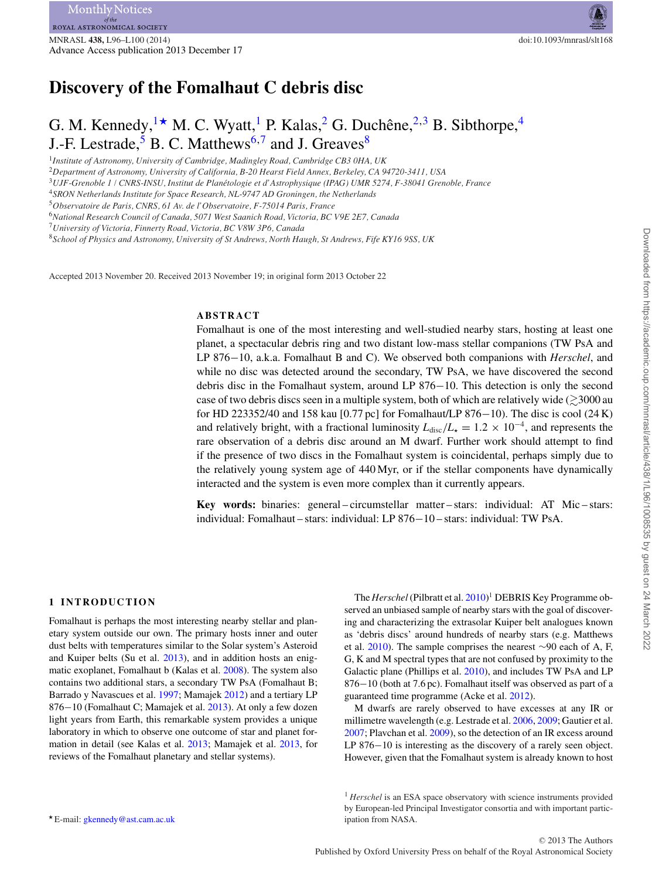# **Discovery of the Fomalhaut C debris disc**

## G. M. Kennedy,  $\rightarrow$  M. C. Wyatt, <sup>1</sup> P. Kalas, <sup>2</sup> G. Duchêne, <sup>2,3</sup> B. Sibthorpe, <sup>4</sup> J.-F. Lestrade,  $5$  B. C. Matthews<sup>6,7</sup> and J. Greaves<sup>8</sup>

<sup>1</sup>*Institute of Astronomy, University of Cambridge, Madingley Road, Cambridge CB3 0HA, UK*

<sup>2</sup>*Department of Astronomy, University of California, B-20 Hearst Field Annex, Berkeley, CA 94720-3411, USA*

<sup>3</sup>*UJF-Grenoble 1 / CNRS-INSU, Institut de Planetologie et d'Astrophysique (IPAG) UMR 5274, F-38041 Grenoble, France ´*

<sup>4</sup>*SRON Netherlands Institute for Space Research, NL-9747 AD Groningen, the Netherlands*

<sup>6</sup>*National Research Council of Canada, 5071 West Saanich Road, Victoria, BC V9E 2E7, Canada*

<sup>8</sup>*School of Physics and Astronomy, University of St Andrews, North Haugh, St Andrews, Fife KY16 9SS, UK*

Accepted 2013 November 20. Received 2013 November 19; in original form 2013 October 22

### **ABSTRACT**

Fomalhaut is one of the most interesting and well-studied nearby stars, hosting at least one planet, a spectacular debris ring and two distant low-mass stellar companions (TW PsA and LP 876−10, a.k.a. Fomalhaut B and C). We observed both companions with *Herschel*, and while no disc was detected around the secondary, TW PsA, we have discovered the second debris disc in the Fomalhaut system, around LP 876−10. This detection is only the second case of two debris discs seen in a multiple system, both of which are relatively wide ( $\gtrsim$ 3000 au for HD 223352/40 and 158 kau [0.77 pc] for Fomalhaut/LP 876−10). The disc is cool (24 K) and relatively bright, with a fractional luminosity  $L_{disc}/L_{\star} = 1.2 \times 10^{-4}$ , and represents the rare observation of a debris disc around an M dwarf. Further work should attempt to find if the presence of two discs in the Fomalhaut system is coincidental, perhaps simply due to the relatively young system age of 440 Myr, or if the stellar components have dynamically interacted and the system is even more complex than it currently appears.

**Key words:** binaries: general – circumstellar matter – stars: individual: AT Mic – stars: individual: Fomalhaut – stars: individual: LP 876−10 – stars: individual: TW PsA.

#### **1 INTRODUCTION**

Fomalhaut is perhaps the most interesting nearby stellar and planetary system outside our own. The primary hosts inner and outer dust belts with temperatures similar to the Solar system's Asteroid and Kuiper belts (Su et al. 2013), and in addition hosts an enigmatic exoplanet, Fomalhaut b (Kalas et al. 2008). The system also contains two additional stars, a secondary TW PsA (Fomalhaut B; Barrado y Navascues et al. 1997; Mamajek 2012) and a tertiary LP 876−10 (Fomalhaut C; Mamajek et al. 2013). At only a few dozen light years from Earth, this remarkable system provides a unique laboratory in which to observe one outcome of star and planet formation in detail (see Kalas et al. 2013; Mamajek et al. 2013, for reviews of the Fomalhaut planetary and stellar systems).

The *Herschel* (Pilbratt et al. 2010) <sup>1</sup> DEBRIS Key Programme observed an unbiased sample of nearby stars with the goal of discovering and characterizing the extrasolar Kuiper belt analogues known as 'debris discs' around hundreds of nearby stars (e.g. Matthews et al. 2010). The sample comprises the nearest ∼90 each of A, F, G, K and M spectral types that are not confused by proximity to the Galactic plane (Phillips et al. 2010), and includes TW PsA and LP 876−10 (both at 7.6 pc). Fomalhaut itself was observed as part of a guaranteed time programme (Acke et al. 2012).

M dwarfs are rarely observed to have excesses at any IR or millimetre wavelength (e.g. Lestrade et al. 2006, 2009; Gautier et al. 2007; Plavchan et al. 2009), so the detection of an IR excess around LP 876−10 is interesting as the discovery of a rarely seen object. However, given that the Fomalhaut system is already known to host

<sup>5</sup>*Observatoire de Paris, CNRS, 61 Av. de l'Observatoire, F-75014 Paris, France*

<sup>7</sup>*University of Victoria, Finnerty Road, Victoria, BC V8W 3P6, Canada*

<sup>&</sup>lt;sup>1</sup> *Herschel* is an ESA space observatory with science instruments provided by European-led Principal Investigator consortia and with important participation from NASA.

<sup>-</sup> E-mail: [gkennedy@ast.cam.ac.uk](mailto:gkennedy@ast.cam.ac.uk)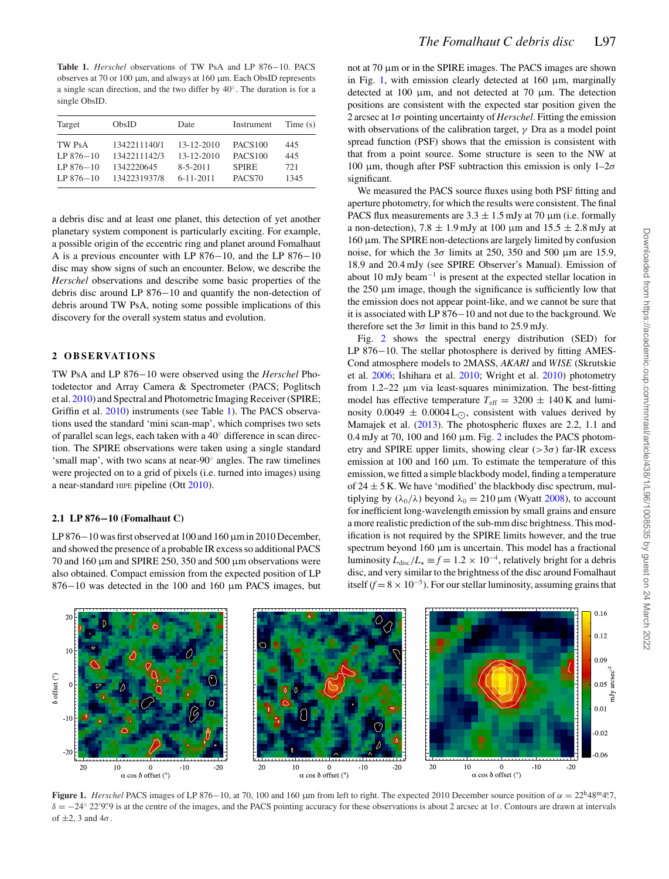**Table 1.** *Herschel* observations of TW PsA and LP 876−10. PACS observes at 70 or 100 µm, and always at 160 µm. Each ObsID represents a single scan direction, and the two differ by 40◦. The duration is for a single ObsID.

| Target        | ObsID        | Date             | Instrument          | Time $(s)$ |
|---------------|--------------|------------------|---------------------|------------|
| TW PsA        | 1342211140/1 | $13 - 12 - 2010$ | PACS <sub>100</sub> | 445        |
| $LP 876 - 10$ | 1342211142/3 | $13 - 12 - 2010$ | <b>PACS100</b>      | 445        |
| $LP 876 - 10$ | 1342220645   | $8 - 5 - 2011$   | <b>SPIRE</b>        | 721        |
| $LP 876 - 10$ | 1342231937/8 | $6 - 11 - 2011$  | PACS <sub>70</sub>  | 1345       |

a debris disc and at least one planet, this detection of yet another planetary system component is particularly exciting. For example, a possible origin of the eccentric ring and planet around Fomalhaut A is a previous encounter with LP 876−10, and the LP 876−10 disc may show signs of such an encounter. Below, we describe the *Herschel* observations and describe some basic properties of the debris disc around LP 876−10 and quantify the non-detection of debris around TW PsA, noting some possible implications of this discovery for the overall system status and evolution.

### 2 OBSERVATIONS

TW PsA and LP 876−10 were observed using the *Herschel* Photodetector and Array Camera & Spectrometer (PACS; Poglitsch et al. 2010) and Spectral and Photometric Imaging Receiver (SPIRE; Griffin et al. 2010) instruments (see Table 1). The PACS observations used the standard 'mini scan-map', which comprises two sets of parallel scan legs, each taken with a 40◦ difference in scan direction. The SPIRE observations were taken using a single standard 'small map', with two scans at near-90◦ angles. The raw timelines were projected on to a grid of pixels (i.e. turned into images) using a near-standard HIPE pipeline (Ott 2010).

#### **2.1 LP 876−10 (Fomalhaut C)**

LP 876−10 was first observed at 100 and 160 µm in 2010 December, and showed the presence of a probable IR excess so additional PACS 70 and 160  $\mu$ m and SPIRE 250, 350 and 500  $\mu$ m observations were also obtained. Compact emission from the expected position of LP 876−10 was detected in the 100 and 160 µm PACS images, but not at 70 um or in the SPIRE images. The PACS images are shown in Fig. 1, with emission clearly detected at 160  $\mu$ m, marginally detected at 100  $\mu$ m, and not detected at 70  $\mu$ m. The detection positions are consistent with the expected star position given the 2 arcsec at 1σ pointing uncertainty of *Herschel*. Fitting the emission with observations of the calibration target,  $\gamma$  Dra as a model point spread function (PSF) shows that the emission is consistent with that from a point source. Some structure is seen to the NW at 100 μm, though after PSF subtraction this emission is only  $1-2σ$ significant.

We measured the PACS source fluxes using both PSF fitting and aperture photometry, for which the results were consistent. The final PACS flux measurements are  $3.3 \pm 1.5$  mJy at 70  $\mu$ m (i.e. formally a non-detection),  $7.8 \pm 1.9$  mJy at 100 µm and  $15.5 \pm 2.8$  mJy at 160 µm. The SPIRE non-detections are largely limited by confusion noise, for which the  $3\sigma$  limits at 250, 350 and 500  $\mu$ m are 15.9, 18.9 and 20.4 mJy (see SPIRE Observer's Manual). Emission of about 10 mJy beam<sup> $-1$ </sup> is present at the expected stellar location in the  $250 \mu m$  image, though the significance is sufficiently low that the emission does not appear point-like, and we cannot be sure that it is associated with LP 876−10 and not due to the background. We therefore set the  $3\sigma$  limit in this band to 25.9 mJy.

Fig. 2 shows the spectral energy distribution (SED) for LP 876−10. The stellar photosphere is derived by fitting AMES-Cond atmosphere models to 2MASS, *AKARI* and *WISE* (Skrutskie et al. 2006; Ishihara et al. 2010; Wright et al. 2010) photometry from  $1.2-22$   $\mu$ m via least-squares minimization. The best-fitting model has effective temperature  $T_{\text{eff}} = 3200 \pm 140 \text{ K}$  and luminosity  $0.0049 \pm 0.0004$  L<sub>O</sub>, consistent with values derived by Mamajek et al. (2013). The photospheric fluxes are 2.2, 1.1 and  $0.4$  mJy at 70, 100 and 160  $\mu$ m. Fig. 2 includes the PACS photometry and SPIRE upper limits, showing clear ( $>3\sigma$ ) far-IR excess emission at 100 and 160  $\mu$ m. To estimate the temperature of this emission, we fitted a simple blackbody model, finding a temperature of  $24 \pm 5$  K. We have 'modified' the blackbody disc spectrum, multiplying by  $(\lambda_0/\lambda)$  beyond  $\lambda_0 = 210 \,\mu\text{m}$  (Wyatt 2008), to account for inefficient long-wavelength emission by small grains and ensure a more realistic prediction of the sub-mm disc brightness. This modification is not required by the SPIRE limits however, and the true spectrum beyond  $160 \mu m$  is uncertain. This model has a fractional luminosity  $L_{\text{disc}}/L_{\star} \equiv f = 1.2 \times 10^{-4}$ , relatively bright for a debris disc, and very similar to the brightness of the disc around Fomalhaut itself ( $f = 8 \times 10^{-5}$ ). For our stellar luminosity, assuming grains that



**Figure 1.** *Herschel* PACS images of LP 876–10, at 70, 100 and 160 µm from left to right. The expected 2010 December source position of  $\alpha = 22^{\text{h}}48^{\text{m}}4^{\text{s}}$ .7,  $\delta = -24^\circ 22'$ 9. S at the centre of the images, and the PACS pointing accuracy for these observations is about 2 arcsec at 1 $\sigma$ . Contours are drawn at intervals of  $\pm 2$ , 3 and  $4\sigma$ .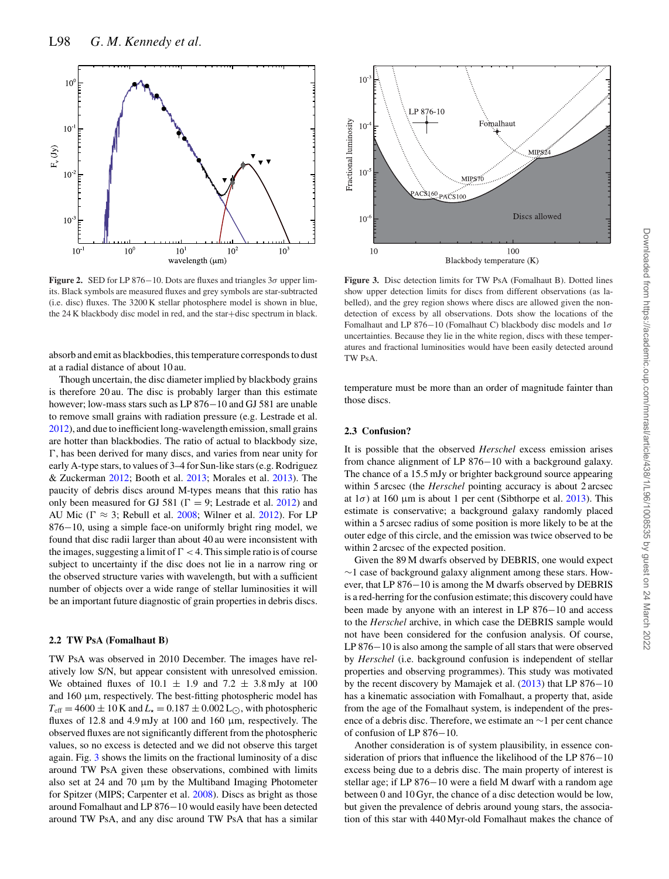

**Figure 2.** SED for LP 876−10. Dots are fluxes and triangles 3σ upper limits. Black symbols are measured fluxes and grey symbols are star-subtracted (i.e. disc) fluxes. The 3200 K stellar photosphere model is shown in blue, the 24 K blackbody disc model in red, and the star+disc spectrum in black.

absorb and emit as blackbodies, this temperature corresponds to dust at a radial distance of about 10 au.

Though uncertain, the disc diameter implied by blackbody grains is therefore 20 au. The disc is probably larger than this estimate however; low-mass stars such as LP 876−10 and GJ 581 are unable to remove small grains with radiation pressure (e.g. Lestrade et al. 2012), and due to inefficient long-wavelength emission, small grains are hotter than blackbodies. The ratio of actual to blackbody size,  $\Gamma$ , has been derived for many discs, and varies from near unity for early A-type stars, to values of 3–4 for Sun-like stars (e.g. Rodriguez & Zuckerman 2012; Booth et al. 2013; Morales et al. 2013). The paucity of debris discs around M-types means that this ratio has only been measured for GJ 581 ( $\Gamma = 9$ ; Lestrade et al. 2012) and AU Mic ( $\Gamma \approx 3$ ; Rebull et al. 2008; Wilner et al. 2012). For LP 876−10, using a simple face-on uniformly bright ring model, we found that disc radii larger than about 40 au were inconsistent with the images, suggesting a limit of  $\Gamma$  < 4. This simple ratio is of course subject to uncertainty if the disc does not lie in a narrow ring or the observed structure varies with wavelength, but with a sufficient number of objects over a wide range of stellar luminosities it will be an important future diagnostic of grain properties in debris discs.

#### **2.2 TW PsA (Fomalhaut B)**

TW PsA was observed in 2010 December. The images have relatively low S/N, but appear consistent with unresolved emission. We obtained fluxes of  $10.1 \pm 1.9$  and  $7.2 \pm 3.8$  mJy at  $100$ and  $160 \mu m$ , respectively. The best-fitting photospheric model has  $T_{\text{eff}} = 4600 \pm 10 \text{ K}$  and  $L_{\star} = 0.187 \pm 0.002 \text{ L}_{\odot}$ , with photospheric fluxes of 12.8 and 4.9 mJy at 100 and 160 µm, respectively. The observed fluxes are not significantly different from the photospheric values, so no excess is detected and we did not observe this target again. Fig. 3 shows the limits on the fractional luminosity of a disc around TW PsA given these observations, combined with limits also set at 24 and 70  $\mu$ m by the Multiband Imaging Photometer for Spitzer (MIPS; Carpenter et al. 2008). Discs as bright as those around Fomalhaut and LP 876−10 would easily have been detected around TW PsA, and any disc around TW PsA that has a similar



**Figure 3.** Disc detection limits for TW PsA (Fomalhaut B). Dotted lines show upper detection limits for discs from different observations (as labelled), and the grey region shows where discs are allowed given the nondetection of excess by all observations. Dots show the locations of the Fomalhaut and LP 876−10 (Fomalhaut C) blackbody disc models and 1σ uncertainties. Because they lie in the white region, discs with these temperatures and fractional luminosities would have been easily detected around TW PsA.

temperature must be more than an order of magnitude fainter than those discs.

#### **2.3 Confusion?**

It is possible that the observed *Herschel* excess emission arises from chance alignment of LP 876−10 with a background galaxy. The chance of a 15.5 mJy or brighter background source appearing within 5 arcsec (the *Herschel* pointing accuracy is about 2 arcsec at  $1\sigma$ ) at 160  $\mu$ m is about 1 per cent (Sibthorpe et al. 2013). This estimate is conservative; a background galaxy randomly placed within a 5 arcsec radius of some position is more likely to be at the outer edge of this circle, and the emission was twice observed to be within 2 arcsec of the expected position.

Given the 89 M dwarfs observed by DEBRIS, one would expect ∼1 case of background galaxy alignment among these stars. However, that LP 876−10 is among the M dwarfs observed by DEBRIS is a red-herring for the confusion estimate; this discovery could have been made by anyone with an interest in LP 876−10 and access to the *Herschel* archive, in which case the DEBRIS sample would not have been considered for the confusion analysis. Of course, LP 876−10 is also among the sample of all stars that were observed by *Herschel* (i.e. background confusion is independent of stellar properties and observing programmes). This study was motivated by the recent discovery by Mamajek et al. (2013) that LP 876−10 has a kinematic association with Fomalhaut, a property that, aside from the age of the Fomalhaut system, is independent of the presence of a debris disc. Therefore, we estimate an ∼1 per cent chance of confusion of LP 876−10.

Another consideration is of system plausibility, in essence consideration of priors that influence the likelihood of the LP 876−10 excess being due to a debris disc. The main property of interest is stellar age; if LP 876−10 were a field M dwarf with a random age between 0 and 10 Gyr, the chance of a disc detection would be low, but given the prevalence of debris around young stars, the association of this star with 440 Myr-old Fomalhaut makes the chance of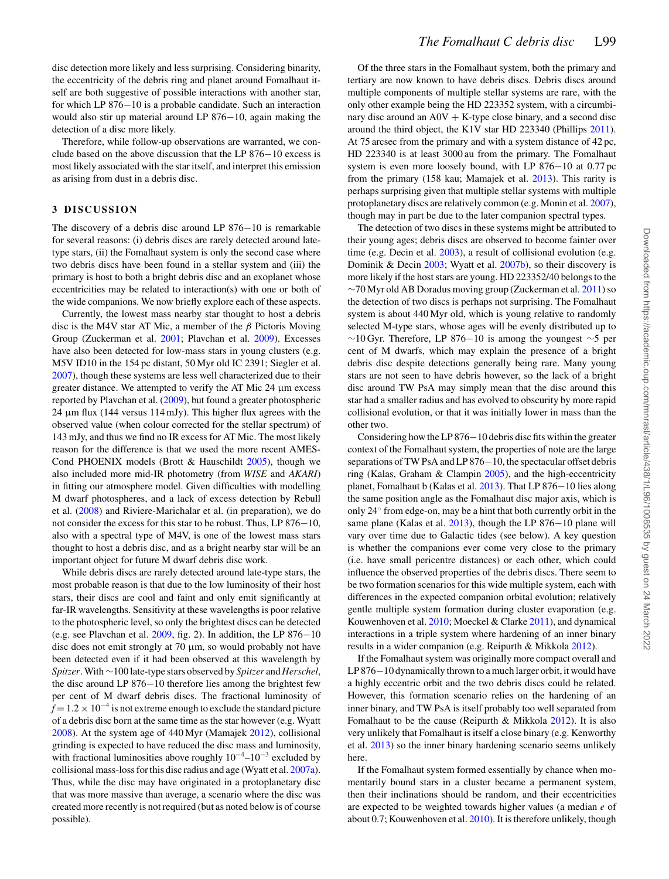disc detection more likely and less surprising. Considering binarity, the eccentricity of the debris ring and planet around Fomalhaut itself are both suggestive of possible interactions with another star, for which LP 876−10 is a probable candidate. Such an interaction would also stir up material around LP 876−10, again making the detection of a disc more likely.

Therefore, while follow-up observations are warranted, we conclude based on the above discussion that the LP 876−10 excess is most likely associated with the star itself, and interpret this emission as arising from dust in a debris disc.

#### **3 DISCUSSION**

The discovery of a debris disc around LP 876−10 is remarkable for several reasons: (i) debris discs are rarely detected around latetype stars, (ii) the Fomalhaut system is only the second case where two debris discs have been found in a stellar system and (iii) the primary is host to both a bright debris disc and an exoplanet whose eccentricities may be related to interaction(s) with one or both of the wide companions. We now briefly explore each of these aspects.

Currently, the lowest mass nearby star thought to host a debris disc is the M4V star AT Mic, a member of the  $\beta$  Pictoris Moving Group (Zuckerman et al. 2001; Plavchan et al. 2009). Excesses have also been detected for low-mass stars in young clusters (e.g. M5V ID10 in the 154 pc distant, 50 Myr old IC 2391; Siegler et al. 2007), though these systems are less well characterized due to their greater distance. We attempted to verify the AT Mic  $24 \mu m$  excess reported by Plavchan et al. (2009), but found a greater photospheric  $24 \mu m$  flux (144 versus 114 mJy). This higher flux agrees with the observed value (when colour corrected for the stellar spectrum) of 143 mJy, and thus we find no IR excess for AT Mic. The most likely reason for the difference is that we used the more recent AMES-Cond PHOENIX models (Brott & Hauschildt 2005), though we also included more mid-IR photometry (from *WISE* and *AKARI*) in fitting our atmosphere model. Given difficulties with modelling M dwarf photospheres, and a lack of excess detection by Rebull et al. (2008) and Riviere-Marichalar et al. (in preparation), we do not consider the excess for this star to be robust. Thus, LP 876−10, also with a spectral type of M4V, is one of the lowest mass stars thought to host a debris disc, and as a bright nearby star will be an important object for future M dwarf debris disc work.

While debris discs are rarely detected around late-type stars, the most probable reason is that due to the low luminosity of their host stars, their discs are cool and faint and only emit significantly at far-IR wavelengths. Sensitivity at these wavelengths is poor relative to the photospheric level, so only the brightest discs can be detected (e.g. see Plavchan et al. 2009, fig. 2). In addition, the LP 876−10 disc does not emit strongly at 70  $\mu$ m, so would probably not have been detected even if it had been observed at this wavelength by *Spitzer*. With ∼100 late-type stars observed by *Spitzer* and *Herschel*, the disc around LP 876−10 therefore lies among the brightest few per cent of M dwarf debris discs. The fractional luminosity of  $f = 1.2 \times 10^{-4}$  is not extreme enough to exclude the standard picture of a debris disc born at the same time as the star however (e.g. Wyatt 2008). At the system age of 440 Myr (Mamajek 2012), collisional grinding is expected to have reduced the disc mass and luminosity, with fractional luminosities above roughly  $10^{-4}$ – $10^{-3}$  excluded by collisional mass-loss for this disc radius and age (Wyatt et al. 2007a). Thus, while the disc may have originated in a protoplanetary disc that was more massive than average, a scenario where the disc was created more recently is not required (but as noted below is of course possible).

Of the three stars in the Fomalhaut system, both the primary and tertiary are now known to have debris discs. Debris discs around multiple components of multiple stellar systems are rare, with the only other example being the HD 223352 system, with a circumbinary disc around an  $A_0V + K$ -type close binary, and a second disc around the third object, the K1V star HD 223340 (Phillips 2011). At 75 arcsec from the primary and with a system distance of 42 pc, HD 223340 is at least 3000 au from the primary. The Fomalhaut system is even more loosely bound, with LP 876−10 at 0.77 pc from the primary (158 kau; Mamajek et al. 2013). This rarity is perhaps surprising given that multiple stellar systems with multiple protoplanetary discs are relatively common (e.g. Monin et al. 2007), though may in part be due to the later companion spectral types.

The detection of two discs in these systems might be attributed to their young ages; debris discs are observed to become fainter over time (e.g. Decin et al. 2003), a result of collisional evolution (e.g. Dominik & Decin 2003; Wyatt et al. 2007b), so their discovery is more likely if the host stars are young. HD 223352/40 belongs to the ∼70 Myr old AB Doradus moving group (Zuckerman et al. 2011) so the detection of two discs is perhaps not surprising. The Fomalhaut system is about 440 Myr old, which is young relative to randomly selected M-type stars, whose ages will be evenly distributed up to  $∼10$  Gyr. Therefore, LP 876−10 is among the youngest  $~\sim$ 5 per cent of M dwarfs, which may explain the presence of a bright debris disc despite detections generally being rare. Many young stars are not seen to have debris however, so the lack of a bright disc around TW PsA may simply mean that the disc around this star had a smaller radius and has evolved to obscurity by more rapid collisional evolution, or that it was initially lower in mass than the other two.

Considering how the LP 876−10 debris disc fits within the greater context of the Fomalhaut system, the properties of note are the large separations of TW PsA and LP 876−10, the spectacular offset debris ring (Kalas, Graham & Clampin 2005), and the high-eccentricity planet, Fomalhaut b (Kalas et al. 2013). That LP 876−10 lies along the same position angle as the Fomalhaut disc major axis, which is only 24◦ from edge-on, may be a hint that both currently orbit in the same plane (Kalas et al. 2013), though the LP 876−10 plane will vary over time due to Galactic tides (see below). A key question is whether the companions ever come very close to the primary (i.e. have small pericentre distances) or each other, which could influence the observed properties of the debris discs. There seem to be two formation scenarios for this wide multiple system, each with differences in the expected companion orbital evolution; relatively gentle multiple system formation during cluster evaporation (e.g. Kouwenhoven et al. 2010; Moeckel & Clarke 2011), and dynamical interactions in a triple system where hardening of an inner binary results in a wider companion (e.g. Reipurth & Mikkola 2012).

If the Fomalhaut system was originally more compact overall and LP 876−10 dynamically thrown to a much larger orbit, it would have a highly eccentric orbit and the two debris discs could be related. However, this formation scenario relies on the hardening of an inner binary, and TW PsA is itself probably too well separated from Fomalhaut to be the cause (Reipurth & Mikkola 2012). It is also very unlikely that Fomalhaut is itself a close binary (e.g. Kenworthy et al. 2013) so the inner binary hardening scenario seems unlikely here.

If the Fomalhaut system formed essentially by chance when momentarily bound stars in a cluster became a permanent system, then their inclinations should be random, and their eccentricities are expected to be weighted towards higher values (a median *e* of about 0.7; Kouwenhoven et al.  $2010$ ). It is therefore unlikely, though